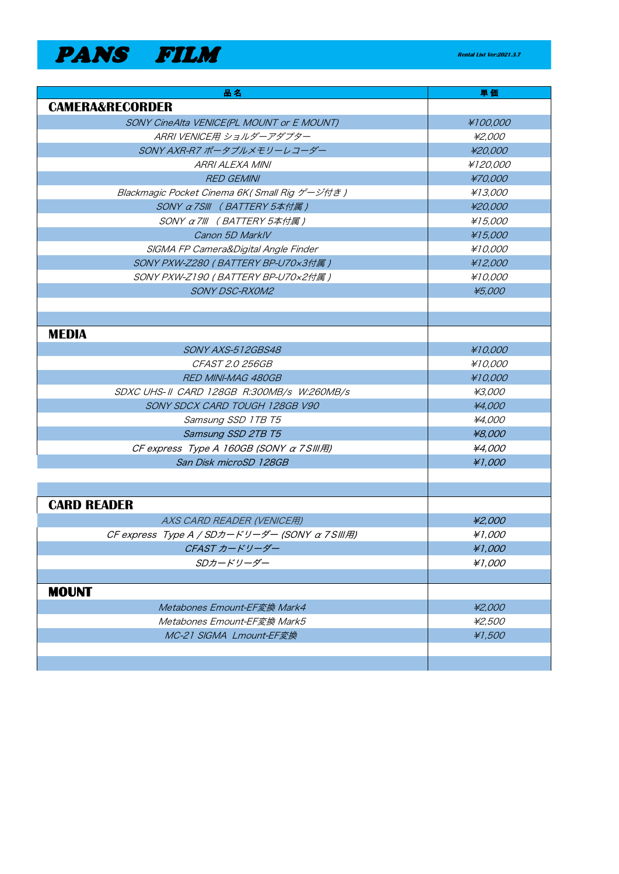**PANS FILM Rental List Ver:2021.3.7** 

| 品名                                                            | 単価            |
|---------------------------------------------------------------|---------------|
| <b>CAMERA&amp;RECORDER</b>                                    |               |
| SONY CineAlta VENICE(PL MOUNT or E MOUNT)                     | ¥100,000      |
| ARRI VENICE用 ショルダーアダプター                                       | ¥2,000        |
| SONY AXR-R7 ポータブルメモリーレコーダー                                    | ¥20,000       |
| <b>ARRI ALEXA MINI</b>                                        | ¥120,000      |
| <b>RED GEMINI</b>                                             | ¥70,000       |
| Blackmagic Pocket Cinema 6K (Small Rig ゲージ付き)                 | ¥13,000       |
| SONY α7SIII (BATTERY 5本付属 )                                   | ¥20,000       |
| SONY $\alpha$ 7/11 (BATTERY 5本付属)                             | ¥15,000       |
| Canon 5D MarklV                                               | ¥15,000       |
| SIGMA FP Camera&Digital Angle Finder                          | ¥10,000       |
| SONY PXW-Z280 (BATTERY BP-U70x3付属)                            | ¥12,000       |
| SONY PXW-Z190 (BATTERY BP-U70x2付属)                            | ¥10,000       |
| <b>SONY DSC-RXOM2</b>                                         | ¥5,000        |
|                                                               |               |
|                                                               |               |
| <b>MEDIA</b>                                                  |               |
| SONY AXS-512GBS48                                             | #10,000       |
| <i>CFAST 2.0 256GB</i>                                        | ¥10,000       |
| <b>RED MINI-MAG 480GB</b>                                     | #10,000       |
| SDXC UHS-II CARD 128GB R:300MB/s W:260MB/s                    | ¥3,000        |
| SONY SDCX CARD TOUGH 128GB V90                                | ¥4,000        |
| Samsung SSD 1TB T5                                            | ¥4,000        |
| Samsung SSD 2TB T5                                            | ¥8,000        |
| CF express Type A 160GB (SONY $\alpha$ 7 SIII FII)            | ¥4,000        |
| San Disk microSD 128GB                                        | ¥1,000        |
|                                                               |               |
|                                                               |               |
| <b>CARD READER</b>                                            |               |
| AXS CARD READER (VENICE用)                                     | ¥2,000        |
| CF express Type $A / SDD + KU - C$ (SONY $\alpha$ 7 SIII FII) | #1,000        |
| CFAST カードリーダー                                                 | ¥1,000        |
| SDカードリーダー                                                     | #1,000        |
|                                                               |               |
| <b>MOUNT</b>                                                  |               |
| Metabones Emount-EF変換 Mark4                                   | ¥2,000        |
| Metabones Emount-EF変換 Mark5                                   | <i>¥2,500</i> |
| MC-21 SIGMA Lmount-EF変換                                       | ¥1,500        |
|                                                               |               |
|                                                               |               |

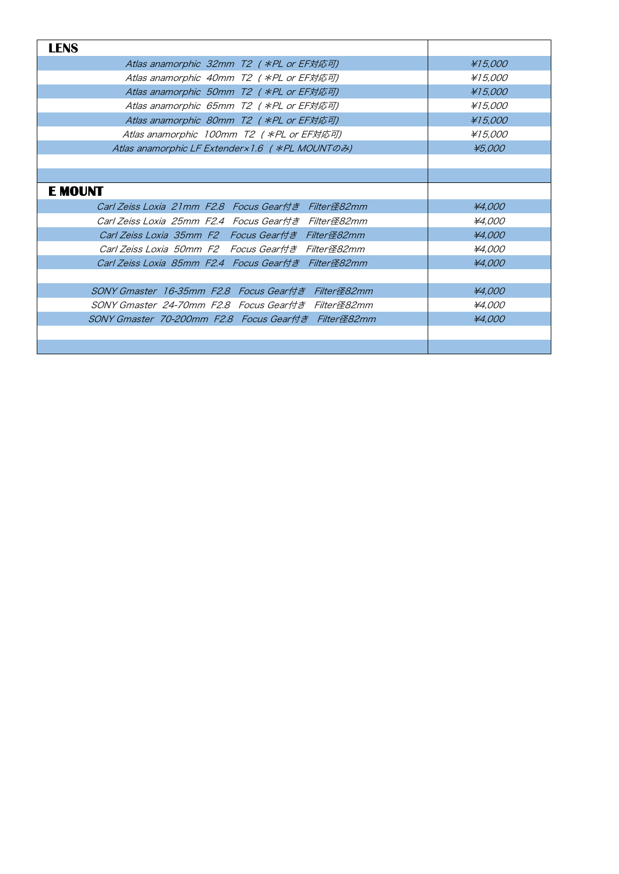| <b>LENS</b>                                         |         |
|-----------------------------------------------------|---------|
| Atlas anamorphic 32mm T2 ( *PL or EF対応可)            | ¥15,000 |
| Atlas anamorphic 40mm T2 ( *PL or EF対応可)            | ¥15,000 |
| Atlas anamorphic 50mm T2 ( *PL or EF対応可)            | ¥15,000 |
| Atlas anamorphic 65mm T2 ( *PL or EF対応可)            | ¥15,000 |
| Atlas anamorphic 80mm T2 ( $*PL$ or EF対応可)          | ¥15,000 |
| Atlas anamorphic 100mm T2 ( $*PL$ or EF対応可)         | ¥15,000 |
| Atlas anamorphic LF Extender × 1.6 ( * PL MOUNT のみ) | ¥5,000  |
|                                                     |         |
|                                                     |         |
| <b>E MOUNT</b>                                      |         |
| Carl Zeiss Loxia 21mm F2.8 Focus Gear付き Filter径82mm | ¥4,000  |
| Carl Zeiss Loxia 25mm F2.4 Focus Gear付き Filter径82mm | ¥4,000  |
| Carl Zeiss Loxia 35mm F2 Focus Gear付き Filter径82mm   | ¥4,000  |
| Carl Zeiss Loxia 50mm F2 Focus Gear付き Filter径82mm   | ¥4,000  |
| Carl Zeiss Loxia 85mm F2.4 Focus Gear付き Filter径82mm | ¥4,000  |
|                                                     |         |
| SONY Gmaster 16-35mm F2.8 Focus Gear付き Filter径82mm  | ¥4,000  |
| SONY Gmaster 24-70mm F2.8 Focus Gear付き Filter径82mm  | ¥4,000  |
| SONY Gmaster 70-200mm F2.8 Focus Gear付き Filter径82mm | ¥4,000  |
|                                                     |         |
|                                                     |         |
|                                                     |         |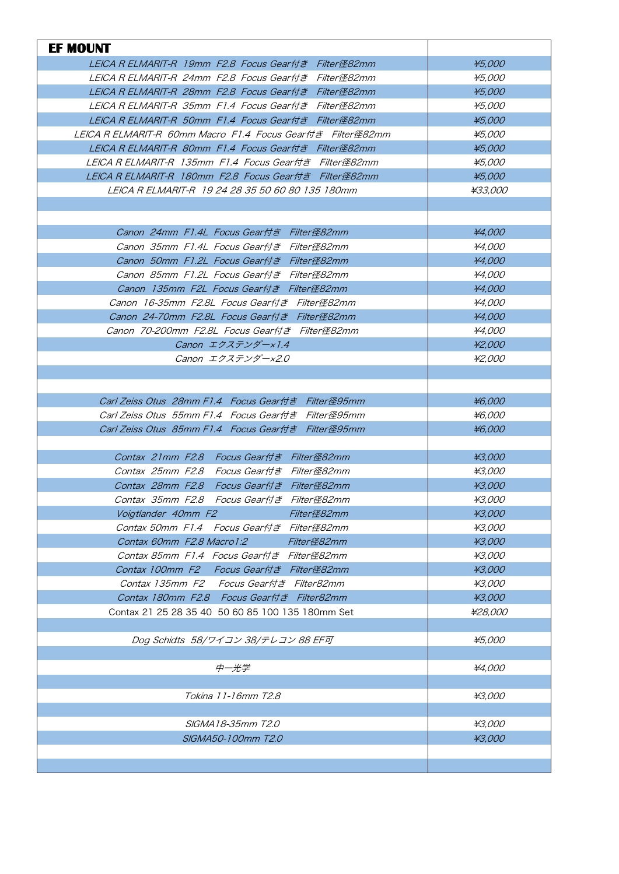| LEICA R ELMARIT-R 19mm F2.8 Focus Gear付き Filter径82mm<br>LEICA R ELMARIT-R 24mm F2.8 Focus Gear付き Filter径82mm<br>LEICA R ELMARIT-R 28mm F2.8 Focus Gear付き Filter径82mm<br>LEICA R ELMARIT-R 35mm F1.4 Focus Gear付き Filter径82mm<br>LEICA R ELMARIT-R 50mm F1.4 Focus Gear付き Filter径82mm<br>LEICA R ELMARIT-R  60mm Macro  F1.4  Focus Gear付き  Filter径82mm<br>LEICA R ELMARIT-R 80mm F1.4 Focus Gear付き Filter径82mm<br>LEICA R ELMARIT-R 135mm F1.4 Focus Gear付き Filter径82mm<br>LEICA R ELMARIT-R 180mm F2.8 Focus Gear付き Filter径82mm<br>LEICA R ELMARIT-R 19 24 28 35 50 60 80 135 180mm<br>Canon 24mm F1.4L Focus Gear付き Filter径82mm<br>Canon 35mm F1.4L Focus Gear付き Filter径82mm<br>Canon 50mm F1.2L Focus Gear付き Filter径82mm<br>Canon 85mm F1.2L Focus Gear付き Filter径82mm<br>Canon 135mm F2L Focus Gear付き Filter径82mm<br>Canon 16-35mm F2.8L Focus Gear付き Filter径82mm<br>Canon 24-70mm F2.8L Focus Gear付き Filter径82mm<br>Canon 70-200mm F2.8L Focus Gear付き Filter径82mm<br>Canon エクステンダー×1.4<br>Canon エクステンダー×2.0<br>Carl Zeiss Otus 28mm F1.4 Focus Gear付き Filter径95mm<br>Carl Zeiss Otus 55mm F1.4 Focus Gear付き Filter径95mm<br>Carl Zeiss Otus 85mm F1.4 Focus Gear付き Filter径95mm<br>Contax 21mm F2.8 Focus Gear付き Filter径82mm<br>Contax 25mm F2.8 Focus Gear付き Filter径82mm<br>Contax 28mm F2.8 Focus Gear付き Filter径82mm<br>Contax 35mm F2.8 Focus Gear付き Filter径82mm<br>Voigtlander 40mm F2 Filter径82mm<br>Contax 50mm F1.4 Focus Gear付き Filter径82mm<br>Contax 60mm F2.8 Macro 1:2 Filter径82mm<br>Contax 85mm F1.4 Focus Gear付き Filter径82mm<br>Contax 100mm F2 Focus Gear付き Filter径82mm<br>Contax 135mm F2 Focus Gear付き Filter82mm<br>Contax 180mm F2.8 Focus Gear付き Filter82mm | ¥5,000<br>¥5,000<br>¥5,000<br>¥5,000<br>¥5,000<br>¥5,000<br>¥5,000<br>¥5,000<br>¥5,000<br>¥33,000<br>¥4,000<br>¥4,000<br>¥4,000<br>¥4,000<br>¥4,000<br>¥4,000 |
|----------------------------------------------------------------------------------------------------------------------------------------------------------------------------------------------------------------------------------------------------------------------------------------------------------------------------------------------------------------------------------------------------------------------------------------------------------------------------------------------------------------------------------------------------------------------------------------------------------------------------------------------------------------------------------------------------------------------------------------------------------------------------------------------------------------------------------------------------------------------------------------------------------------------------------------------------------------------------------------------------------------------------------------------------------------------------------------------------------------------------------------------------------------------------------------------------------------------------------------------------------------------------------------------------------------------------------------------------------------------------------------------------------------------------------------------------------------------------------------------------------------------------------------------------------------------------------------------------------------------------------------------------------------------------------|---------------------------------------------------------------------------------------------------------------------------------------------------------------|
|                                                                                                                                                                                                                                                                                                                                                                                                                                                                                                                                                                                                                                                                                                                                                                                                                                                                                                                                                                                                                                                                                                                                                                                                                                                                                                                                                                                                                                                                                                                                                                                                                                                                                  |                                                                                                                                                               |
|                                                                                                                                                                                                                                                                                                                                                                                                                                                                                                                                                                                                                                                                                                                                                                                                                                                                                                                                                                                                                                                                                                                                                                                                                                                                                                                                                                                                                                                                                                                                                                                                                                                                                  |                                                                                                                                                               |
|                                                                                                                                                                                                                                                                                                                                                                                                                                                                                                                                                                                                                                                                                                                                                                                                                                                                                                                                                                                                                                                                                                                                                                                                                                                                                                                                                                                                                                                                                                                                                                                                                                                                                  |                                                                                                                                                               |
|                                                                                                                                                                                                                                                                                                                                                                                                                                                                                                                                                                                                                                                                                                                                                                                                                                                                                                                                                                                                                                                                                                                                                                                                                                                                                                                                                                                                                                                                                                                                                                                                                                                                                  |                                                                                                                                                               |
|                                                                                                                                                                                                                                                                                                                                                                                                                                                                                                                                                                                                                                                                                                                                                                                                                                                                                                                                                                                                                                                                                                                                                                                                                                                                                                                                                                                                                                                                                                                                                                                                                                                                                  |                                                                                                                                                               |
|                                                                                                                                                                                                                                                                                                                                                                                                                                                                                                                                                                                                                                                                                                                                                                                                                                                                                                                                                                                                                                                                                                                                                                                                                                                                                                                                                                                                                                                                                                                                                                                                                                                                                  |                                                                                                                                                               |
|                                                                                                                                                                                                                                                                                                                                                                                                                                                                                                                                                                                                                                                                                                                                                                                                                                                                                                                                                                                                                                                                                                                                                                                                                                                                                                                                                                                                                                                                                                                                                                                                                                                                                  |                                                                                                                                                               |
|                                                                                                                                                                                                                                                                                                                                                                                                                                                                                                                                                                                                                                                                                                                                                                                                                                                                                                                                                                                                                                                                                                                                                                                                                                                                                                                                                                                                                                                                                                                                                                                                                                                                                  |                                                                                                                                                               |
|                                                                                                                                                                                                                                                                                                                                                                                                                                                                                                                                                                                                                                                                                                                                                                                                                                                                                                                                                                                                                                                                                                                                                                                                                                                                                                                                                                                                                                                                                                                                                                                                                                                                                  |                                                                                                                                                               |
|                                                                                                                                                                                                                                                                                                                                                                                                                                                                                                                                                                                                                                                                                                                                                                                                                                                                                                                                                                                                                                                                                                                                                                                                                                                                                                                                                                                                                                                                                                                                                                                                                                                                                  |                                                                                                                                                               |
|                                                                                                                                                                                                                                                                                                                                                                                                                                                                                                                                                                                                                                                                                                                                                                                                                                                                                                                                                                                                                                                                                                                                                                                                                                                                                                                                                                                                                                                                                                                                                                                                                                                                                  |                                                                                                                                                               |
|                                                                                                                                                                                                                                                                                                                                                                                                                                                                                                                                                                                                                                                                                                                                                                                                                                                                                                                                                                                                                                                                                                                                                                                                                                                                                                                                                                                                                                                                                                                                                                                                                                                                                  |                                                                                                                                                               |
|                                                                                                                                                                                                                                                                                                                                                                                                                                                                                                                                                                                                                                                                                                                                                                                                                                                                                                                                                                                                                                                                                                                                                                                                                                                                                                                                                                                                                                                                                                                                                                                                                                                                                  |                                                                                                                                                               |
|                                                                                                                                                                                                                                                                                                                                                                                                                                                                                                                                                                                                                                                                                                                                                                                                                                                                                                                                                                                                                                                                                                                                                                                                                                                                                                                                                                                                                                                                                                                                                                                                                                                                                  |                                                                                                                                                               |
|                                                                                                                                                                                                                                                                                                                                                                                                                                                                                                                                                                                                                                                                                                                                                                                                                                                                                                                                                                                                                                                                                                                                                                                                                                                                                                                                                                                                                                                                                                                                                                                                                                                                                  |                                                                                                                                                               |
|                                                                                                                                                                                                                                                                                                                                                                                                                                                                                                                                                                                                                                                                                                                                                                                                                                                                                                                                                                                                                                                                                                                                                                                                                                                                                                                                                                                                                                                                                                                                                                                                                                                                                  |                                                                                                                                                               |
|                                                                                                                                                                                                                                                                                                                                                                                                                                                                                                                                                                                                                                                                                                                                                                                                                                                                                                                                                                                                                                                                                                                                                                                                                                                                                                                                                                                                                                                                                                                                                                                                                                                                                  |                                                                                                                                                               |
|                                                                                                                                                                                                                                                                                                                                                                                                                                                                                                                                                                                                                                                                                                                                                                                                                                                                                                                                                                                                                                                                                                                                                                                                                                                                                                                                                                                                                                                                                                                                                                                                                                                                                  |                                                                                                                                                               |
|                                                                                                                                                                                                                                                                                                                                                                                                                                                                                                                                                                                                                                                                                                                                                                                                                                                                                                                                                                                                                                                                                                                                                                                                                                                                                                                                                                                                                                                                                                                                                                                                                                                                                  | ¥4,000                                                                                                                                                        |
|                                                                                                                                                                                                                                                                                                                                                                                                                                                                                                                                                                                                                                                                                                                                                                                                                                                                                                                                                                                                                                                                                                                                                                                                                                                                                                                                                                                                                                                                                                                                                                                                                                                                                  | <i>¥4,000</i>                                                                                                                                                 |
|                                                                                                                                                                                                                                                                                                                                                                                                                                                                                                                                                                                                                                                                                                                                                                                                                                                                                                                                                                                                                                                                                                                                                                                                                                                                                                                                                                                                                                                                                                                                                                                                                                                                                  | ¥2,000                                                                                                                                                        |
|                                                                                                                                                                                                                                                                                                                                                                                                                                                                                                                                                                                                                                                                                                                                                                                                                                                                                                                                                                                                                                                                                                                                                                                                                                                                                                                                                                                                                                                                                                                                                                                                                                                                                  | ¥2,000                                                                                                                                                        |
|                                                                                                                                                                                                                                                                                                                                                                                                                                                                                                                                                                                                                                                                                                                                                                                                                                                                                                                                                                                                                                                                                                                                                                                                                                                                                                                                                                                                                                                                                                                                                                                                                                                                                  |                                                                                                                                                               |
|                                                                                                                                                                                                                                                                                                                                                                                                                                                                                                                                                                                                                                                                                                                                                                                                                                                                                                                                                                                                                                                                                                                                                                                                                                                                                                                                                                                                                                                                                                                                                                                                                                                                                  |                                                                                                                                                               |
|                                                                                                                                                                                                                                                                                                                                                                                                                                                                                                                                                                                                                                                                                                                                                                                                                                                                                                                                                                                                                                                                                                                                                                                                                                                                                                                                                                                                                                                                                                                                                                                                                                                                                  | ¥6,000                                                                                                                                                        |
|                                                                                                                                                                                                                                                                                                                                                                                                                                                                                                                                                                                                                                                                                                                                                                                                                                                                                                                                                                                                                                                                                                                                                                                                                                                                                                                                                                                                                                                                                                                                                                                                                                                                                  | ¥6,000                                                                                                                                                        |
|                                                                                                                                                                                                                                                                                                                                                                                                                                                                                                                                                                                                                                                                                                                                                                                                                                                                                                                                                                                                                                                                                                                                                                                                                                                                                                                                                                                                                                                                                                                                                                                                                                                                                  | ¥6,000                                                                                                                                                        |
|                                                                                                                                                                                                                                                                                                                                                                                                                                                                                                                                                                                                                                                                                                                                                                                                                                                                                                                                                                                                                                                                                                                                                                                                                                                                                                                                                                                                                                                                                                                                                                                                                                                                                  |                                                                                                                                                               |
|                                                                                                                                                                                                                                                                                                                                                                                                                                                                                                                                                                                                                                                                                                                                                                                                                                                                                                                                                                                                                                                                                                                                                                                                                                                                                                                                                                                                                                                                                                                                                                                                                                                                                  | ¥3,000                                                                                                                                                        |
|                                                                                                                                                                                                                                                                                                                                                                                                                                                                                                                                                                                                                                                                                                                                                                                                                                                                                                                                                                                                                                                                                                                                                                                                                                                                                                                                                                                                                                                                                                                                                                                                                                                                                  | ¥3,000                                                                                                                                                        |
|                                                                                                                                                                                                                                                                                                                                                                                                                                                                                                                                                                                                                                                                                                                                                                                                                                                                                                                                                                                                                                                                                                                                                                                                                                                                                                                                                                                                                                                                                                                                                                                                                                                                                  | ¥3,000                                                                                                                                                        |
|                                                                                                                                                                                                                                                                                                                                                                                                                                                                                                                                                                                                                                                                                                                                                                                                                                                                                                                                                                                                                                                                                                                                                                                                                                                                                                                                                                                                                                                                                                                                                                                                                                                                                  | ¥3,000                                                                                                                                                        |
|                                                                                                                                                                                                                                                                                                                                                                                                                                                                                                                                                                                                                                                                                                                                                                                                                                                                                                                                                                                                                                                                                                                                                                                                                                                                                                                                                                                                                                                                                                                                                                                                                                                                                  | ¥3,000                                                                                                                                                        |
|                                                                                                                                                                                                                                                                                                                                                                                                                                                                                                                                                                                                                                                                                                                                                                                                                                                                                                                                                                                                                                                                                                                                                                                                                                                                                                                                                                                                                                                                                                                                                                                                                                                                                  | ¥3,000                                                                                                                                                        |
|                                                                                                                                                                                                                                                                                                                                                                                                                                                                                                                                                                                                                                                                                                                                                                                                                                                                                                                                                                                                                                                                                                                                                                                                                                                                                                                                                                                                                                                                                                                                                                                                                                                                                  | ¥3,000                                                                                                                                                        |
|                                                                                                                                                                                                                                                                                                                                                                                                                                                                                                                                                                                                                                                                                                                                                                                                                                                                                                                                                                                                                                                                                                                                                                                                                                                                                                                                                                                                                                                                                                                                                                                                                                                                                  | ¥3,000                                                                                                                                                        |
|                                                                                                                                                                                                                                                                                                                                                                                                                                                                                                                                                                                                                                                                                                                                                                                                                                                                                                                                                                                                                                                                                                                                                                                                                                                                                                                                                                                                                                                                                                                                                                                                                                                                                  | ¥3,000                                                                                                                                                        |
|                                                                                                                                                                                                                                                                                                                                                                                                                                                                                                                                                                                                                                                                                                                                                                                                                                                                                                                                                                                                                                                                                                                                                                                                                                                                                                                                                                                                                                                                                                                                                                                                                                                                                  | ¥3,000                                                                                                                                                        |
|                                                                                                                                                                                                                                                                                                                                                                                                                                                                                                                                                                                                                                                                                                                                                                                                                                                                                                                                                                                                                                                                                                                                                                                                                                                                                                                                                                                                                                                                                                                                                                                                                                                                                  | ¥3,000                                                                                                                                                        |
| Contax 21 25 28 35 40 50 60 85 100 135 180mm Set                                                                                                                                                                                                                                                                                                                                                                                                                                                                                                                                                                                                                                                                                                                                                                                                                                                                                                                                                                                                                                                                                                                                                                                                                                                                                                                                                                                                                                                                                                                                                                                                                                 | ¥28,000                                                                                                                                                       |
|                                                                                                                                                                                                                                                                                                                                                                                                                                                                                                                                                                                                                                                                                                                                                                                                                                                                                                                                                                                                                                                                                                                                                                                                                                                                                                                                                                                                                                                                                                                                                                                                                                                                                  |                                                                                                                                                               |
| Dog Schidts 58/ワイコン 38/テレコン 88 EF可                                                                                                                                                                                                                                                                                                                                                                                                                                                                                                                                                                                                                                                                                                                                                                                                                                                                                                                                                                                                                                                                                                                                                                                                                                                                                                                                                                                                                                                                                                                                                                                                                                               |                                                                                                                                                               |
|                                                                                                                                                                                                                                                                                                                                                                                                                                                                                                                                                                                                                                                                                                                                                                                                                                                                                                                                                                                                                                                                                                                                                                                                                                                                                                                                                                                                                                                                                                                                                                                                                                                                                  |                                                                                                                                                               |
| 中一光学                                                                                                                                                                                                                                                                                                                                                                                                                                                                                                                                                                                                                                                                                                                                                                                                                                                                                                                                                                                                                                                                                                                                                                                                                                                                                                                                                                                                                                                                                                                                                                                                                                                                             | ¥5,000                                                                                                                                                        |
|                                                                                                                                                                                                                                                                                                                                                                                                                                                                                                                                                                                                                                                                                                                                                                                                                                                                                                                                                                                                                                                                                                                                                                                                                                                                                                                                                                                                                                                                                                                                                                                                                                                                                  |                                                                                                                                                               |
| Tokina 11-16mm T2.8                                                                                                                                                                                                                                                                                                                                                                                                                                                                                                                                                                                                                                                                                                                                                                                                                                                                                                                                                                                                                                                                                                                                                                                                                                                                                                                                                                                                                                                                                                                                                                                                                                                              | ¥4,000                                                                                                                                                        |
|                                                                                                                                                                                                                                                                                                                                                                                                                                                                                                                                                                                                                                                                                                                                                                                                                                                                                                                                                                                                                                                                                                                                                                                                                                                                                                                                                                                                                                                                                                                                                                                                                                                                                  |                                                                                                                                                               |
| SIGMA18-35mm T2.0                                                                                                                                                                                                                                                                                                                                                                                                                                                                                                                                                                                                                                                                                                                                                                                                                                                                                                                                                                                                                                                                                                                                                                                                                                                                                                                                                                                                                                                                                                                                                                                                                                                                | ¥3,000                                                                                                                                                        |
| SIGMA50-100mm T2.0                                                                                                                                                                                                                                                                                                                                                                                                                                                                                                                                                                                                                                                                                                                                                                                                                                                                                                                                                                                                                                                                                                                                                                                                                                                                                                                                                                                                                                                                                                                                                                                                                                                               |                                                                                                                                                               |
|                                                                                                                                                                                                                                                                                                                                                                                                                                                                                                                                                                                                                                                                                                                                                                                                                                                                                                                                                                                                                                                                                                                                                                                                                                                                                                                                                                                                                                                                                                                                                                                                                                                                                  | ¥3,000<br>¥3,000                                                                                                                                              |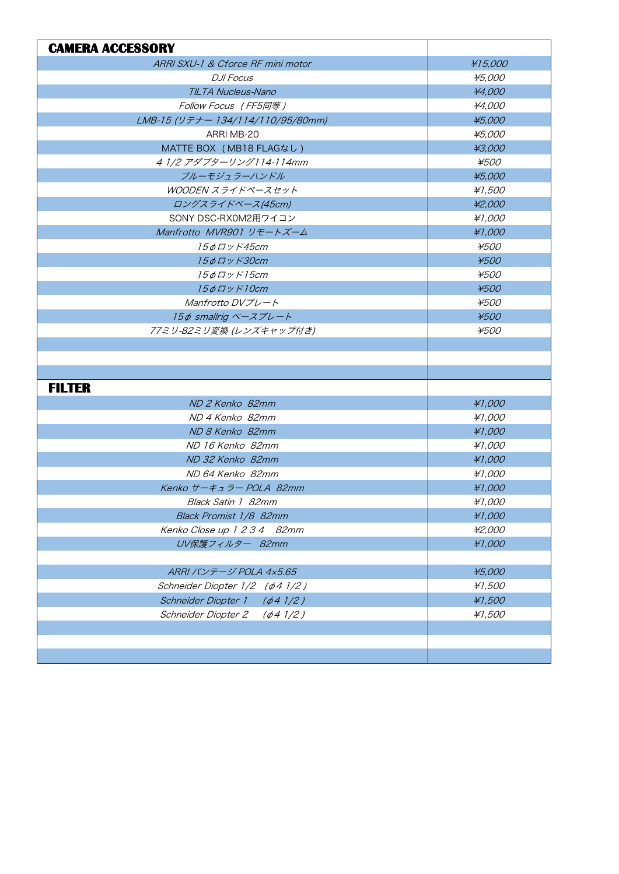| <b>CAMERA ACCESSORY</b>                     |             |
|---------------------------------------------|-------------|
| ARRI SXU-1 & Cforce RF mini motor           | ¥15,000     |
| <b>DJI Focus</b>                            | ¥5,000      |
| TILTA Nucleus-Nano                          | ¥4,000      |
| Follow Focus (FF5同等)                        | ¥4,000      |
| LMB-15 (リテナー 134/114/110/95/80mm)           | ¥5,000      |
| ARRI MB-20                                  | ¥5,000      |
| MATTE BOX (MB18 FLAGなし)                     | ¥3,000      |
| 4 1/2 アダプターリング114-114mm                     | ¥500        |
| ブルーモジュラーハンドル                                | ¥5,000      |
| WOODEN スライドベースセット                           | ¥1,500      |
| ロングスライドベース(45cm)                            | ¥2,000      |
| SONY DSC-RX0M2用ワイコン                         | ¥1,000      |
| Manfrotto MVR901 リモートズーム                    | #1,000      |
| 15фロッド45cm                                  | ¥500        |
| <i>15φロッド30cm</i>                           | ¥500        |
| <i>15φロッド15cm</i>                           | <i>¥500</i> |
| <i>15φロッド10cm</i>                           | ¥500        |
| Manfrotto $D V \mathcal{I} L - \mathcal{K}$ | ¥500        |
| 15¢ smallrig ベースプレート                        | ¥500        |
| 77ミリ-82ミリ変換 (レンズキャップ付き)                     | ¥500        |
|                                             |             |
|                                             |             |
|                                             |             |
| <b>FILTER</b>                               |             |
| ND 2 Kenko 82mm                             | #1,000      |
| ND 4 Kenko 82mm                             | #1,000      |
| ND 8 Kenko 82mm                             | #1,000      |
| ND 16 Kenko 82mm                            | #1,000      |
| ND 32 Kenko 82mm                            | ¥1,000      |
| ND 64 Kenko 82mm                            | ¥1,000      |
| Kenko サーキュラー POLA 82mm                      | #1,000      |
| Black Satin 1 82mm                          | ¥1,000      |
| Black Promist 1/8 82mm                      | #1,000      |
| Kenko Close up 1 2 3 4 82mm                 | ¥2,000      |
| UV保護フィルター 82mm                              | #1,000      |
|                                             |             |
| ARRI バンテージ POLA 4x5.65                      | ¥5,000      |
| Schneider Diopter 1/2 (¢4 1/2)              | ¥1,500      |
| Schneider Diopter 1 (¢4 1/2)                | ¥1,500      |
| Schneider Diopter 2 (¢4 1/2)                | ¥1,500      |
|                                             |             |
|                                             |             |
|                                             |             |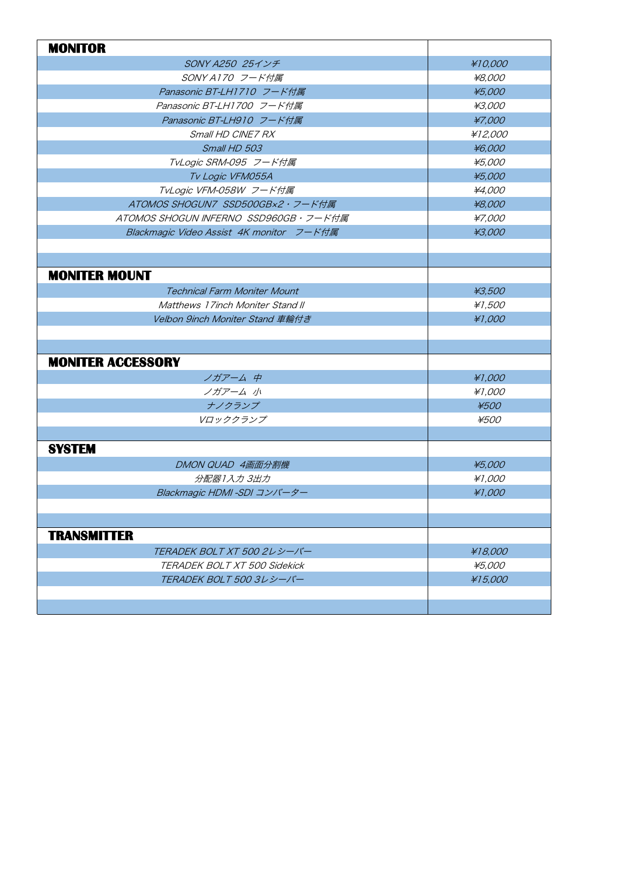| <b>MONITOR</b>                           |         |
|------------------------------------------|---------|
| SONY A250 25インチ                          | ¥10,000 |
| SONY A170 フード付属                          | ¥8,000  |
| Panasonic BT-LH1710 フード付属                | ¥5,000  |
| Panasonic BT-LH1700 フード付属                | ¥3,000  |
| Panasonic BT-LH910 フード付属                 | ¥7,000  |
| Small HD CINE7 RX                        | ¥12,000 |
| Small HD 503                             | ¥6,000  |
| TvLogic SRM-095 フード付属                    | ¥5,000  |
| Tv Logic VFM055A                         | ¥5,000  |
| TvLogic VFM-058W フード付属                   | ¥4,000  |
| ATOMOS SHOGUN7 SSD500GBx2・フード付属          | ¥8,000  |
| ATOMOS SHOGUN INFERNO SSD960GB・フード付属     | ¥7,000  |
| Blackmagic Video Assist 4K monitor フード付属 | ¥3,000  |
|                                          |         |
|                                          |         |
| <b>MONITER MOUNT</b>                     |         |
| <b>Technical Farm Moniter Mount</b>      | ¥3,500  |
| Matthews 17inch Moniter Stand II         | ¥1,500  |
| Velbon 9inch Moniter Stand 車輪付き          | ¥1,000  |
|                                          |         |
|                                          |         |
| <b>MONITER ACCESSORY</b>                 |         |
| ノガアーム 中                                  | ¥1,000  |
| ノガアーム 小                                  | ¥1,000  |
| ナノクランプ                                   | ¥500    |
| Vロッククランプ                                 | ¥500    |
|                                          |         |
| <b>SYSTEM</b>                            |         |
| DMON QUAD 4画面分割機                         | ¥5,000  |
| 分配器1入力3出力                                | ¥1,000  |
| Blackmagic HDMI -SDI コンバーター              | ¥1,000  |
|                                          |         |
|                                          |         |
| <b>TRANSMITTER</b>                       |         |
| TERADEK BOLT XT 500 2レシーバー               | ¥18,000 |
| TERADEK BOLT XT 500 Sidekick             | ¥5,000  |
| TERADEK BOLT 500 3レシーバー                  | ¥15,000 |
|                                          |         |
|                                          |         |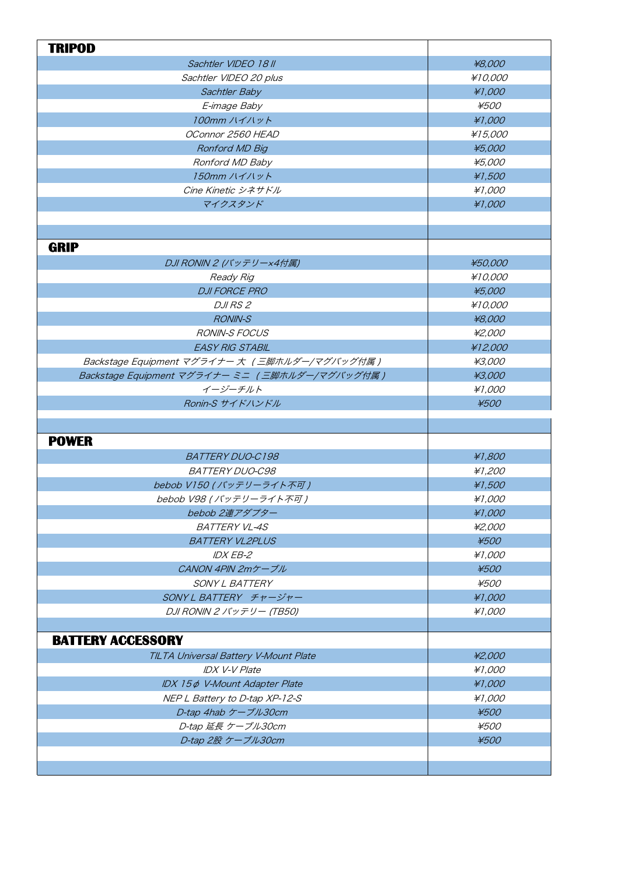| <b>TRIPOD</b>                                  |         |
|------------------------------------------------|---------|
| Sachtler VIDEO 18 II                           | ¥8,000  |
| Sachtler VIDEO 20 plus                         | ¥10,000 |
| Sachtler Baby                                  | ¥1,000  |
| E-image Baby                                   | ¥500    |
| 100mm ハイハット                                    | #1,000  |
| OConnor 2560 HEAD                              | ¥15,000 |
| Ronford MD Big                                 | ¥5,000  |
| Ronford MD Baby                                | ¥5,000  |
| 150mm ハイハット                                    | ¥1,500  |
| Cine Kinetic シネサドル                             | #1,000  |
| マイクスタンド                                        | ¥1,000  |
|                                                |         |
| <b>GRIP</b>                                    |         |
| DJI RONIN 2 (バッテリーx4付属)                        | ¥50,000 |
| Ready Rig                                      | ¥10,000 |
| <b>DJI FORCE PRO</b>                           | ¥5,000  |
| <b>DJIRS2</b>                                  | ¥10,000 |
| <b>RONIN-S</b>                                 | ¥8,000  |
| <b>RONIN-S FOCUS</b>                           | ¥2,000  |
| <b>EASY RIG STABIL</b>                         | ¥12,000 |
| Backstage Equipment マグライナー 大 (三脚ホルダー/マグバッグ付属)  | ¥3,000  |
| Backstage Equipment マグライナー ミニ (三脚ホルダー/マグバッグ付属) | ¥3,000  |
| イージーチルト                                        | ¥1,000  |
| Ronin-S サイドハンドル                                | ¥500    |
|                                                |         |
|                                                |         |
| <b>POWER</b>                                   |         |
| <b>BATTERY DUO-C198</b>                        | ¥1,800  |
| <b>BATTERY DUO-C98</b>                         | ¥1,200  |
| bebob V150 (バッテリーライト不可)                        | ¥1,500  |
| bebob V98 (バッテリーライト不可)                         | #1,000  |
| bebob 2連アダプター                                  | ¥1,000  |
| <b>BATTERY VL-4S</b>                           | ¥2,000  |
| <b>BATTERY VL2PLUS</b>                         | ¥500    |
| <b>IDX EB-2</b>                                | ¥1,000  |
| CANON 4PIN 2mケーブル                              | ¥500    |
|                                                |         |
| SONY L BATTERY                                 | ¥500    |
| SONY L BATTERY チャージャー                          | ¥1,000  |
| DJI RONIN 2 バッテリー (TB50)                       | ¥1,000  |
|                                                |         |
| <b>BATTERY ACCESSORY</b>                       |         |
| TILTA Universal Battery V-Mount Plate          | ¥2,000  |
| <b>IDX V-V Plate</b>                           | #1,000  |
| IDX 15¢ V-Mount Adapter Plate                  | ¥1,000  |
| NEP L Battery to D-tap XP-12-S                 | ¥1,000  |
| D-tap 4hab ケーブル30cm                            | ¥500    |
| D-tap 延長 ケーブル30cm                              | ¥500    |
| D-tap 2股 ケーブル30cm                              | ¥500    |
|                                                |         |